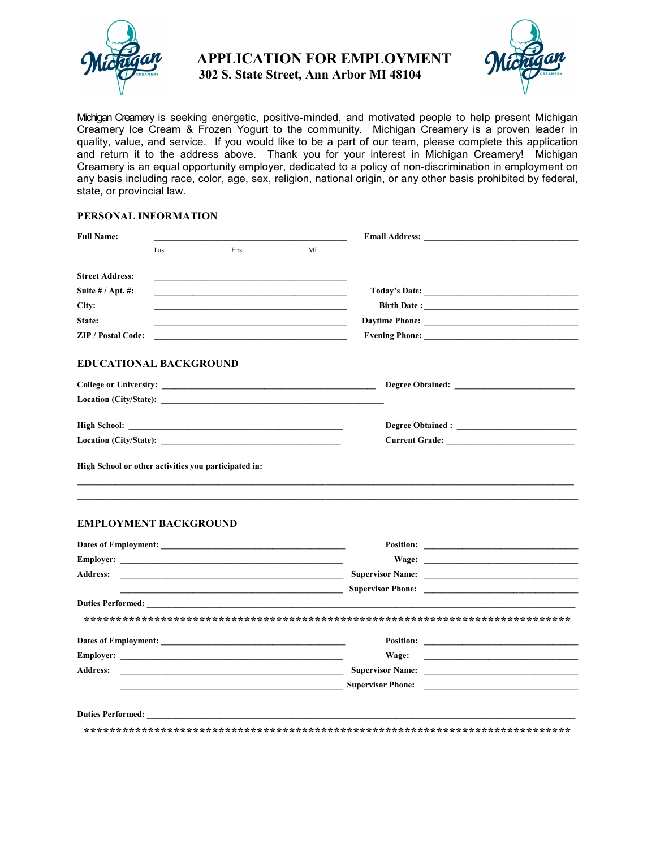

## APPLICATION FOR EMPLOYMENT



302 S. State Street, Ann Arbor MI 48104

Michigan Creamery is seeking energetic, positive-minded, and motivated people to help present Michigan Creamery Ice Cream & Frozen Yogurt to the community. Michigan Creamery is a proven leader in quality, value, and service. If you would like to be a part of our team, please complete this application and return it to the address above. Thank you for your interest in Michigan Creamery! Michigan Creamery is an equal opportunity employer, dedicated to a policy of non-discrimination in employment on any basis including race, color, age, sex, religion, national origin, or any other basis prohibited by federal, state, or provincial law.

## PERSONAL INFORMATION

| <b>Full Name:</b>                                    |      |       |    |  |  |  |
|------------------------------------------------------|------|-------|----|--|--|--|
|                                                      | Last | First | MI |  |  |  |
| <b>Street Address:</b>                               |      |       |    |  |  |  |
| Suite $# /$ Apt. $#$ :                               |      |       |    |  |  |  |
| City:                                                |      |       |    |  |  |  |
| State:                                               |      |       |    |  |  |  |
| <b>ZIP / Postal Code:</b>                            |      |       |    |  |  |  |
| <b>EDUCATIONAL BACKGROUND</b>                        |      |       |    |  |  |  |
|                                                      |      |       |    |  |  |  |
|                                                      |      |       |    |  |  |  |
|                                                      |      |       |    |  |  |  |
| High School or other activities you participated in: |      |       |    |  |  |  |

 $\_$  ,  $\_$  ,  $\_$  ,  $\_$  ,  $\_$  ,  $\_$  ,  $\_$  ,  $\_$  ,  $\_$  ,  $\_$  ,  $\_$  ,  $\_$  ,  $\_$  ,  $\_$  ,  $\_$  ,  $\_$  ,  $\_$  ,  $\_$  ,  $\_$  ,  $\_$  ,  $\_$  ,  $\_$  ,  $\_$  ,  $\_$  ,  $\_$  ,  $\_$  ,  $\_$  ,  $\_$  ,  $\_$  ,  $\_$  ,  $\_$  ,  $\_$  ,  $\_$  ,  $\_$  ,  $\_$  ,  $\_$  ,  $\_$  ,  $\_$  ,  $\_$  ,  $\_$  ,  $\_$  ,  $\_$  ,  $\_$  ,  $\_$  ,  $\_$  ,  $\_$  ,  $\_$  ,  $\_$  ,  $\_$  ,  $\_$  ,  $\_$  ,  $\_$  ,  $\_$  ,  $\_$  ,  $\_$  ,  $\_$  ,  $\_$  ,  $\_$  ,  $\_$  ,  $\_$  ,  $\_$  ,  $\_$  ,  $\_$  ,  $\_$  ,  $\_$  ,  $\_$  ,  $\_$  ,  $\_$  ,  $\_$  ,  $\_$  ,  $\_$  ,  $\_$  ,  $\_$  ,  $\_$  ,

## EMPLOYMENT BACKGROUND

|                                                                                                                                          | Position:                                |                                                                                                                         |
|------------------------------------------------------------------------------------------------------------------------------------------|------------------------------------------|-------------------------------------------------------------------------------------------------------------------------|
|                                                                                                                                          |                                          |                                                                                                                         |
| <b>Address:</b><br><u> 1980 - Johann Harry Harry Harry Harry Harry Harry Harry Harry Harry Harry Harry Harry Harry Harry Harry Harry</u> |                                          |                                                                                                                         |
|                                                                                                                                          |                                          |                                                                                                                         |
|                                                                                                                                          |                                          |                                                                                                                         |
|                                                                                                                                          |                                          |                                                                                                                         |
|                                                                                                                                          |                                          |                                                                                                                         |
|                                                                                                                                          | Wage:                                    | <u> 1989 - Jan Sterling Sterling von Berling von Berling von Berling von Berling von Berling von Berling von Berlin</u> |
| <b>Address:</b>                                                                                                                          | <b>Supervisor Name:</b> Supervisor Name: |                                                                                                                         |
|                                                                                                                                          | <b>Supervisor Phone:</b>                 |                                                                                                                         |
|                                                                                                                                          |                                          |                                                                                                                         |
| <b>Duties Performed:</b>                                                                                                                 |                                          |                                                                                                                         |
|                                                                                                                                          |                                          |                                                                                                                         |